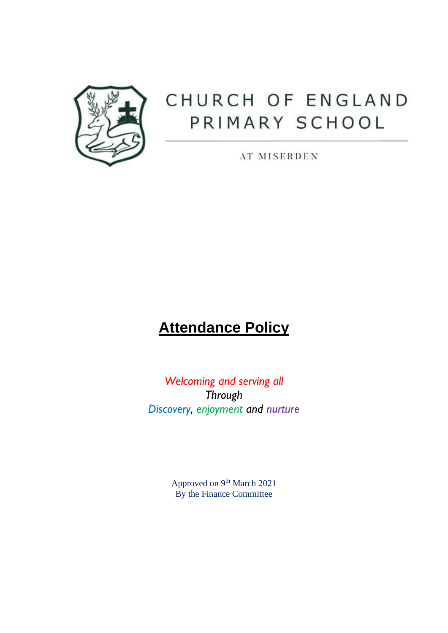

# CHURCH OF ENGLAND PRIMARY SCHOOL

AT MISERDEN

# **Attendance Policy**

*Welcoming and serving all Through Discovery, enjoyment and nurture*

> Approved on 9<sup>th</sup> March 2021 By the Finance Committee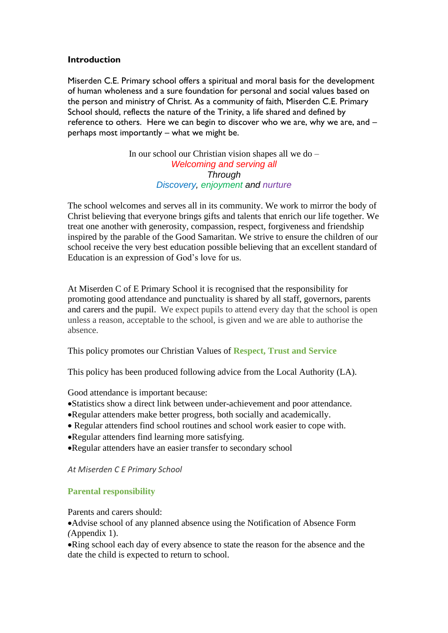# **Introduction**

Miserden C.E. Primary school offers a spiritual and moral basis for the development of human wholeness and a sure foundation for personal and social values based on the person and ministry of Christ. As a community of faith, Miserden C.E. Primary School should, reflects the nature of the Trinity, a life shared and defined by reference to others. Here we can begin to discover who we are, why we are, and – perhaps most importantly – what we might be.

> In our school our Christian vision shapes all we do – *Welcoming and serving all Through Discovery, enjoyment and nurture*

The school welcomes and serves all in its community. We work to mirror the body of Christ believing that everyone brings gifts and talents that enrich our life together. We treat one another with generosity, compassion, respect, forgiveness and friendship inspired by the parable of the Good Samaritan. We strive to ensure the children of our school receive the very best education possible believing that an excellent standard of Education is an expression of God's love for us.

At Miserden C of E Primary School it is recognised that the responsibility for promoting good attendance and punctuality is shared by all staff, governors, parents and carers and the pupil. We expect pupils to attend every day that the school is open unless a reason, acceptable to the school, is given and we are able to authorise the absence.

This policy promotes our Christian Values of **Respect, Trust and Service**

This policy has been produced following advice from the Local Authority (LA).

Good attendance is important because:

- •Statistics show a direct link between under-achievement and poor attendance.
- •Regular attenders make better progress, both socially and academically.
- Regular attenders find school routines and school work easier to cope with.
- •Regular attenders find learning more satisfying.
- •Regular attenders have an easier transfer to secondary school

*At Miserden C E Primary School* 

# **Parental responsibility**

Parents and carers should:

•Advise school of any planned absence using the Notification of Absence Form *(*Appendix 1).

•Ring school each day of every absence to state the reason for the absence and the date the child is expected to return to school.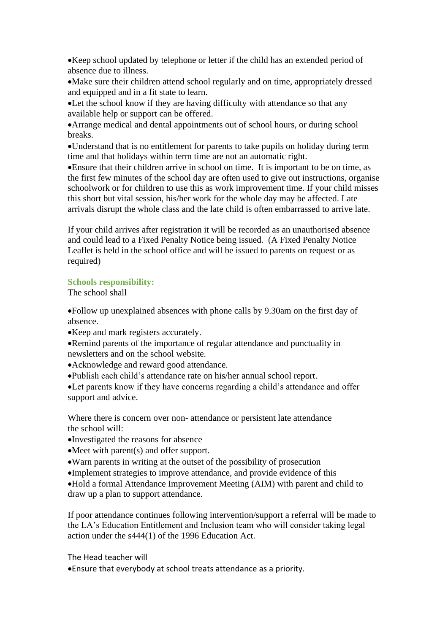•Keep school updated by telephone or letter if the child has an extended period of absence due to illness.

•Make sure their children attend school regularly and on time, appropriately dressed and equipped and in a fit state to learn.

•Let the school know if they are having difficulty with attendance so that any available help or support can be offered.

•Arrange medical and dental appointments out of school hours, or during school breaks.

•Understand that is no entitlement for parents to take pupils on holiday during term time and that holidays within term time are not an automatic right.

•Ensure that their children arrive in school on time. It is important to be on time, as the first few minutes of the school day are often used to give out instructions, organise schoolwork or for children to use this as work improvement time. If your child misses this short but vital session, his/her work for the whole day may be affected. Late arrivals disrupt the whole class and the late child is often embarrassed to arrive late.

If your child arrives after registration it will be recorded as an unauthorised absence and could lead to a Fixed Penalty Notice being issued. (A Fixed Penalty Notice Leaflet is held in the school office and will be issued to parents on request or as required)

# **Schools responsibility:**

The school shall

•Follow up unexplained absences with phone calls by 9.30am on the first day of absence.

•Keep and mark registers accurately.

•Remind parents of the importance of regular attendance and punctuality in newsletters and on the school website.

- •Acknowledge and reward good attendance.
- •Publish each child's attendance rate on his/her annual school report.

•Let parents know if they have concerns regarding a child's attendance and offer support and advice.

Where there is concern over non- attendance or persistent late attendance the school will:

- •Investigated the reasons for absence
- •Meet with parent(s) and offer support.
- •Warn parents in writing at the outset of the possibility of prosecution
- •Implement strategies to improve attendance, and provide evidence of this

•Hold a formal Attendance Improvement Meeting (AIM) with parent and child to draw up a plan to support attendance.

If poor attendance continues following intervention/support a referral will be made to the LA's Education Entitlement and Inclusion team who will consider taking legal action under the s444(1) of the 1996 Education Act.

The Head teacher will

•Ensure that everybody at school treats attendance as a priority.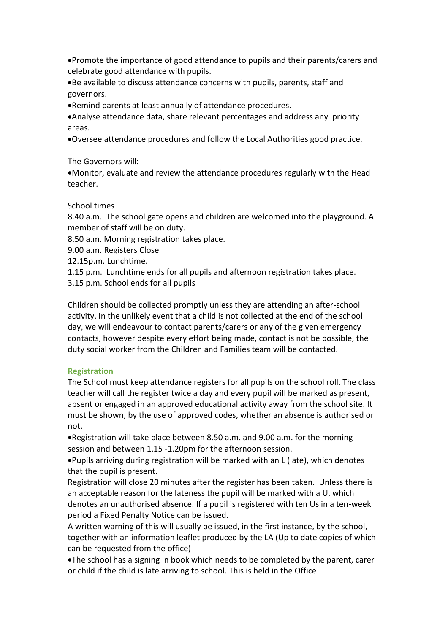•Promote the importance of good attendance to pupils and their parents/carers and celebrate good attendance with pupils.

•Be available to discuss attendance concerns with pupils, parents, staff and governors.

•Remind parents at least annually of attendance procedures.

•Analyse attendance data, share relevant percentages and address any priority areas.

•Oversee attendance procedures and follow the Local Authorities good practice.

The Governors will:

•Monitor, evaluate and review the attendance procedures regularly with the Head teacher.

School times

8.40 a.m. The school gate opens and children are welcomed into the playground. A member of staff will be on duty.

8.50 a.m. Morning registration takes place.

9.00 a.m. Registers Close

12.15p.m. Lunchtime.

1.15 p.m. Lunchtime ends for all pupils and afternoon registration takes place.

3.15 p.m. School ends for all pupils

Children should be collected promptly unless they are attending an after-school activity. In the unlikely event that a child is not collected at the end of the school day, we will endeavour to contact parents/carers or any of the given emergency contacts, however despite every effort being made, contact is not be possible, the duty social worker from the Children and Families team will be contacted.

# **Registration**

The School must keep attendance registers for all pupils on the school roll. The class teacher will call the register twice a day and every pupil will be marked as present, absent or engaged in an approved educational activity away from the school site. It must be shown, by the use of approved codes, whether an absence is authorised or not.

•Registration will take place between 8.50 a.m. and 9.00 a.m. for the morning session and between 1.15 -1.20pm for the afternoon session.

•Pupils arriving during registration will be marked with an L (late), which denotes that the pupil is present.

Registration will close 20 minutes after the register has been taken. Unless there is an acceptable reason for the lateness the pupil will be marked with a U, which denotes an unauthorised absence. If a pupil is registered with ten Us in a ten-week period a Fixed Penalty Notice can be issued.

A written warning of this will usually be issued, in the first instance, by the school, together with an information leaflet produced by the LA (Up to date copies of which can be requested from the office)

•The school has a signing in book which needs to be completed by the parent, carer or child if the child is late arriving to school. This is held in the Office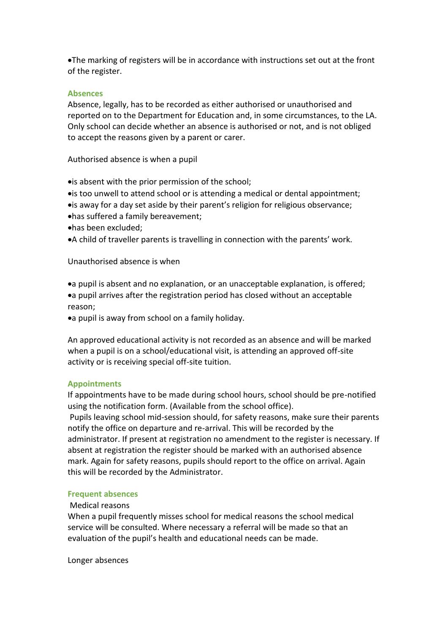•The marking of registers will be in accordance with instructions set out at the front of the register.

#### **Absences**

Absence, legally, has to be recorded as either authorised or unauthorised and reported on to the Department for Education and, in some circumstances, to the LA. Only school can decide whether an absence is authorised or not, and is not obliged to accept the reasons given by a parent or carer.

Authorised absence is when a pupil

•is absent with the prior permission of the school;

- •is too unwell to attend school or is attending a medical or dental appointment;
- •is away for a day set aside by their parent's religion for religious observance;
- •has suffered a family bereavement;
- •has been excluded;
- •A child of traveller parents is travelling in connection with the parents' work.

Unauthorised absence is when

•a pupil is absent and no explanation, or an unacceptable explanation, is offered; •a pupil arrives after the registration period has closed without an acceptable reason;

•a pupil is away from school on a family holiday.

An approved educational activity is not recorded as an absence and will be marked when a pupil is on a school/educational visit, is attending an approved off-site activity or is receiving special off-site tuition.

#### **Appointments**

If appointments have to be made during school hours, school should be pre-notified using the notification form. (Available from the school office).

Pupils leaving school mid-session should, for safety reasons, make sure their parents notify the office on departure and re-arrival. This will be recorded by the administrator. If present at registration no amendment to the register is necessary. If absent at registration the register should be marked with an authorised absence mark. Again for safety reasons, pupils should report to the office on arrival. Again this will be recorded by the Administrator.

#### **Frequent absences**

# Medical reasons

When a pupil frequently misses school for medical reasons the school medical service will be consulted. Where necessary a referral will be made so that an evaluation of the pupil's health and educational needs can be made.

Longer absences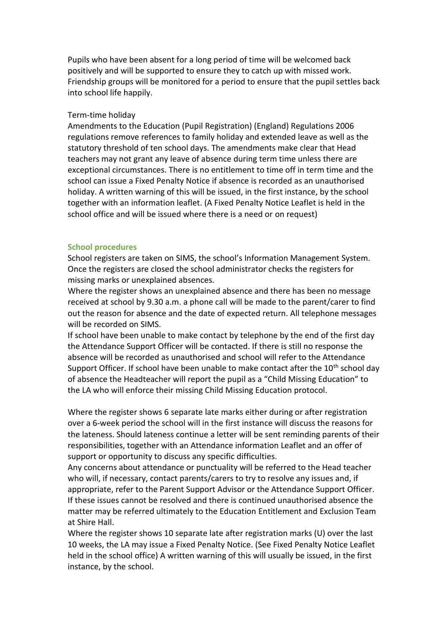Pupils who have been absent for a long period of time will be welcomed back positively and will be supported to ensure they to catch up with missed work. Friendship groups will be monitored for a period to ensure that the pupil settles back into school life happily.

## Term-time holiday

Amendments to the Education (Pupil Registration) (England) Regulations 2006 regulations remove references to family holiday and extended leave as well as the statutory threshold of ten school days. The amendments make clear that Head teachers may not grant any leave of absence during term time unless there are exceptional circumstances. There is no entitlement to time off in term time and the school can issue a Fixed Penalty Notice if absence is recorded as an unauthorised holiday. A written warning of this will be issued, in the first instance, by the school together with an information leaflet. (A Fixed Penalty Notice Leaflet is held in the school office and will be issued where there is a need or on request)

#### **School procedures**

School registers are taken on SIMS, the school's Information Management System. Once the registers are closed the school administrator checks the registers for missing marks or unexplained absences.

Where the register shows an unexplained absence and there has been no message received at school by 9.30 a.m. a phone call will be made to the parent/carer to find out the reason for absence and the date of expected return. All telephone messages will be recorded on SIMS.

If school have been unable to make contact by telephone by the end of the first day the Attendance Support Officer will be contacted. If there is still no response the absence will be recorded as unauthorised and school will refer to the Attendance Support Officer. If school have been unable to make contact after the  $10^{th}$  school day of absence the Headteacher will report the pupil as a "Child Missing Education" to the LA who will enforce their missing Child Missing Education protocol.

Where the register shows 6 separate late marks either during or after registration over a 6-week period the school will in the first instance will discuss the reasons for the lateness. Should lateness continue a letter will be sent reminding parents of their responsibilities, together with an Attendance information Leaflet and an offer of support or opportunity to discuss any specific difficulties.

Any concerns about attendance or punctuality will be referred to the Head teacher who will, if necessary, contact parents/carers to try to resolve any issues and, if appropriate, refer to the Parent Support Advisor or the Attendance Support Officer. If these issues cannot be resolved and there is continued unauthorised absence the matter may be referred ultimately to the Education Entitlement and Exclusion Team at Shire Hall.

Where the register shows 10 separate late after registration marks (U) over the last 10 weeks, the LA may issue a Fixed Penalty Notice. (See Fixed Penalty Notice Leaflet held in the school office) A written warning of this will usually be issued, in the first instance, by the school.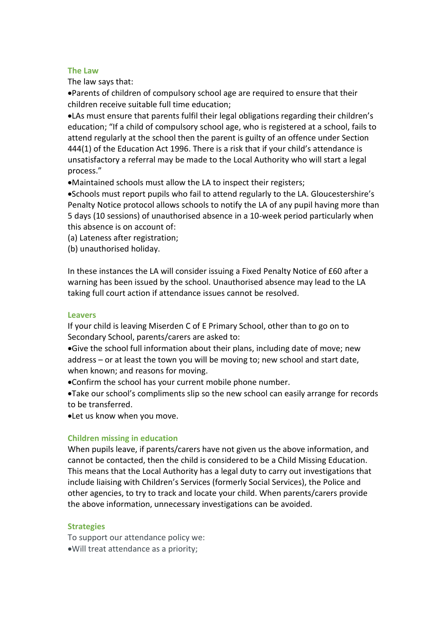#### **The Law**

The law says that:

•Parents of children of compulsory school age are required to ensure that their children receive suitable full time education;

•LAs must ensure that parents fulfil their legal obligations regarding their children's education; "If a child of compulsory school age, who is registered at a school, fails to attend regularly at the school then the parent is guilty of an offence under Section 444(1) of the Education Act 1996. There is a risk that if your child's attendance is unsatisfactory a referral may be made to the Local Authority who will start a legal process."

•Maintained schools must allow the LA to inspect their registers;

•Schools must report pupils who fail to attend regularly to the LA. Gloucestershire's Penalty Notice protocol allows schools to notify the LA of any pupil having more than 5 days (10 sessions) of unauthorised absence in a 10-week period particularly when this absence is on account of:

(a) Lateness after registration;

(b) unauthorised holiday.

In these instances the LA will consider issuing a Fixed Penalty Notice of £60 after a warning has been issued by the school. Unauthorised absence may lead to the LA taking full court action if attendance issues cannot be resolved.

## **Leavers**

If your child is leaving Miserden C of E Primary School, other than to go on to Secondary School, parents/carers are asked to:

•Give the school full information about their plans, including date of move; new address – or at least the town you will be moving to; new school and start date, when known; and reasons for moving.

•Confirm the school has your current mobile phone number.

•Take our school's compliments slip so the new school can easily arrange for records to be transferred.

•Let us know when you move.

# **Children missing in education**

When pupils leave, if parents/carers have not given us the above information, and cannot be contacted, then the child is considered to be a Child Missing Education. This means that the Local Authority has a legal duty to carry out investigations that include liaising with Children's Services (formerly Social Services), the Police and other agencies, to try to track and locate your child. When parents/carers provide the above information, unnecessary investigations can be avoided.

# **Strategies**

To support our attendance policy we: •Will treat attendance as a priority;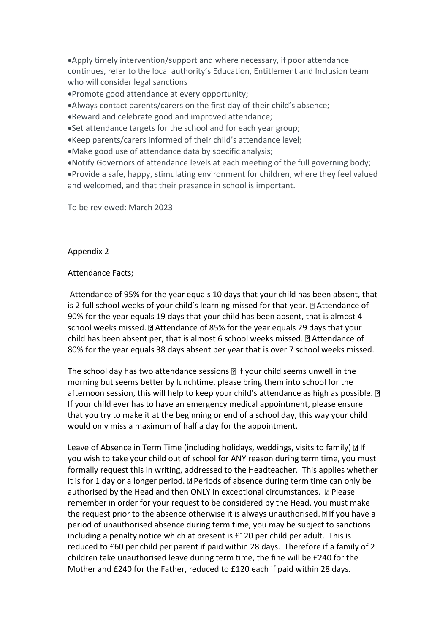•Apply timely intervention/support and where necessary, if poor attendance continues, refer to the local authority's Education, Entitlement and Inclusion team who will consider legal sanctions

•Promote good attendance at every opportunity;

•Always contact parents/carers on the first day of their child's absence;

•Reward and celebrate good and improved attendance;

•Set attendance targets for the school and for each year group;

•Keep parents/carers informed of their child's attendance level;

•Make good use of attendance data by specific analysis;

•Notify Governors of attendance levels at each meeting of the full governing body;

•Provide a safe, happy, stimulating environment for children, where they feel valued and welcomed, and that their presence in school is important.

To be reviewed: March 2023

Appendix 2

Attendance Facts;

Attendance of 95% for the year equals 10 days that your child has been absent, that is 2 full school weeks of your child's learning missed for that year. **Attendance of** 90% for the year equals 19 days that your child has been absent, that is almost 4 school weeks missed. a Attendance of 85% for the year equals 29 days that your child has been absent per, that is almost 6 school weeks missed.  $\mathbb D$  Attendance of 80% for the year equals 38 days absent per year that is over 7 school weeks missed.

The school day has two attendance sessions  $\mathbb B$  If your child seems unwell in the morning but seems better by lunchtime, please bring them into school for the afternoon session, this will help to keep your child's attendance as high as possible. a If your child ever has to have an emergency medical appointment, please ensure that you try to make it at the beginning or end of a school day, this way your child would only miss a maximum of half a day for the appointment.

Leave of Absence in Term Time (including holidays, weddings, visits to family) 2 If you wish to take your child out of school for ANY reason during term time, you must formally request this in writing, addressed to the Headteacher. This applies whether it is for 1 day or a longer period.  $\mathbb D$  Periods of absence during term time can only be authorised by the Head and then ONLY in exceptional circumstances. **P** Please remember in order for your request to be considered by the Head, you must make the request prior to the absence otherwise it is always unauthorised.  $\mathbb{D}$  If you have a period of unauthorised absence during term time, you may be subject to sanctions including a penalty notice which at present is £120 per child per adult. This is reduced to £60 per child per parent if paid within 28 days. Therefore if a family of 2 children take unauthorised leave during term time, the fine will be £240 for the Mother and £240 for the Father, reduced to £120 each if paid within 28 days.